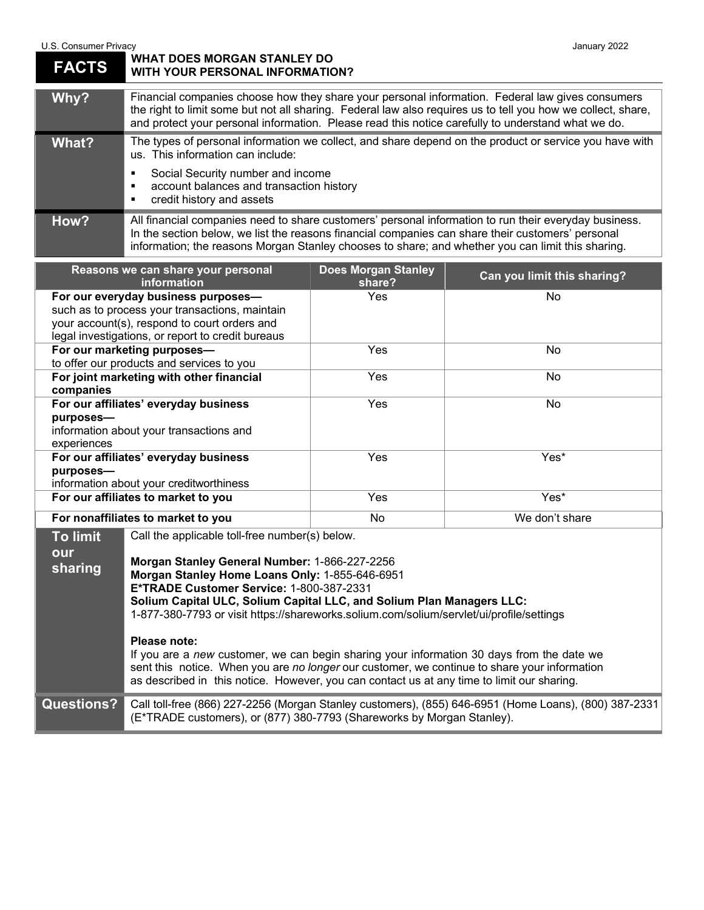## U.S. Consumer Privacy<br> **U.S. Consumer Privacy**<br> **WHAT DOES MORGAN STANLEY DO FACTS WHAT DOES MORGAN STANLEY DO WITH YOUR PERSONAL INFORMATION?**

| Why?  | Financial companies choose how they share your personal information. Federal law gives consumers<br>the right to limit some but not all sharing. Federal law also requires us to tell you how we collect, share,<br>and protect your personal information. Please read this notice carefully to understand what we do. |  |  |
|-------|------------------------------------------------------------------------------------------------------------------------------------------------------------------------------------------------------------------------------------------------------------------------------------------------------------------------|--|--|
| What? | The types of personal information we collect, and share depend on the product or service you have with<br>us. This information can include:<br>Social Security number and income<br>٠<br>account balances and transaction history<br>٠<br>credit history and assets<br>п                                               |  |  |
| How?  | All financial companies need to share customers' personal information to run their everyday business.<br>In the section below, we list the reasons financial companies can share their customers' personal<br>information; the reasons Morgan Stanley chooses to share; and whether you can limit this sharing.        |  |  |

| Reasons we can share your personal<br><b>information</b> |                                                                                                                                             | <b>Does Morgan Stanley</b><br>share? | Can you limit this sharing? |
|----------------------------------------------------------|---------------------------------------------------------------------------------------------------------------------------------------------|--------------------------------------|-----------------------------|
| For our everyday business purposes-                      |                                                                                                                                             | <b>Yes</b>                           | No                          |
| such as to process your transactions, maintain           |                                                                                                                                             |                                      |                             |
| your account(s), respond to court orders and             |                                                                                                                                             |                                      |                             |
| legal investigations, or report to credit bureaus        |                                                                                                                                             |                                      |                             |
| For our marketing purposes-                              |                                                                                                                                             | Yes                                  | No.                         |
| to offer our products and services to you                |                                                                                                                                             |                                      |                             |
| For joint marketing with other financial                 |                                                                                                                                             | Yes                                  | No.                         |
| companies                                                |                                                                                                                                             |                                      |                             |
| For our affiliates' everyday business                    |                                                                                                                                             | Yes                                  | No                          |
| purposes-                                                |                                                                                                                                             |                                      |                             |
| information about your transactions and                  |                                                                                                                                             |                                      |                             |
| experiences                                              |                                                                                                                                             |                                      |                             |
| For our affiliates' everyday business                    |                                                                                                                                             | <b>Yes</b>                           | Yes*                        |
| purposes-                                                |                                                                                                                                             |                                      |                             |
| information about your creditworthiness                  |                                                                                                                                             |                                      |                             |
| For our affiliates to market to you                      |                                                                                                                                             | <b>Yes</b>                           | Yes*                        |
| For nonaffiliates to market to you                       |                                                                                                                                             | No                                   | We don't share              |
| <b>To limit</b>                                          | Call the applicable toll-free number(s) below.                                                                                              |                                      |                             |
| our<br>sharing                                           | Morgan Stanley General Number: 1-866-227-2256<br>Morgan Stanley Home Loans Only: 1-855-646-6951<br>E*TRADE Customer Service: 1-800-387-2331 |                                      |                             |

## **Solium Capital ULC, Solium Capital LLC, and Solium Plan Managers LLC:**

1-877-380-7793 or visit https://shareworks.solium.com/solium/servlet/ui/profile/settings

## **Please note:**

If you are a *new* customer, we can begin sharing your information 30 days from the date we sent this notice. When you are *no longer* our customer, we continue to share your information as described in this notice. However, you can contact us at any time to limit our sharing.

**Questions?** Call toll-free (866) 227-2256 (Morgan Stanley customers), (855) 646-6951 (Home Loans), (800) 387-2331 (E\*TRADE customers), or (877) 380-7793 (Shareworks by Morgan Stanley).